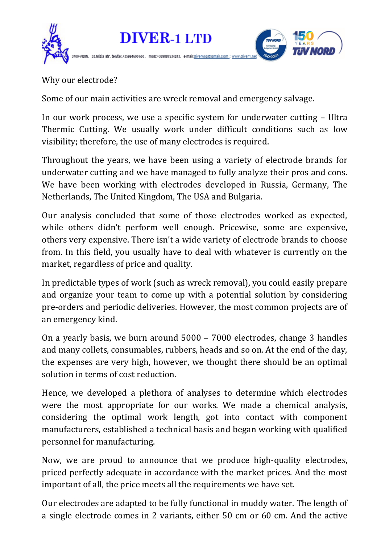

Why our electrode?

Some of our main activities are wreck removal and emergency salvage.

In our work process, we use a specific system for underwater cutting – Ultra Thermic Cutting. We usually work under difficult conditions such as low visibility; therefore, the use of many electrodes is required.

Throughout the years, we have been using a variety of electrode brands for underwater cutting and we have managed to fully analyze their pros and cons. We have been working with electrodes developed in Russia, Germany, The Netherlands, The United Kingdom, The USA and Bulgaria.

Our analysis concluded that some of those electrodes worked as expected, while others didn't perform well enough. Pricewise, some are expensive, others very expensive. There isn't a wide variety of electrode brands to choose from. In this field, you usually have to deal with whatever is currently on the market, regardless of price and quality.

In predictable types of work (such as wreck removal), you could easily prepare and organize your team to come up with a potential solution by considering pre-orders and periodic deliveries. However, the most common projects are of an emergency kind.

On a yearly basis, we burn around 5000 – 7000 electrodes, change 3 handles and many collets, consumables, rubbers, heads and so on. At the end of the day, the expenses are very high, however, we thought there should be an optimal solution in terms of cost reduction.

Hence, we developed a plethora of analyses to determine which electrodes were the most appropriate for our works. We made a chemical analysis, considering the optimal work length, got into contact with component manufacturers, established a technical basis and began working with qualified personnel for manufacturing.

Now, we are proud to announce that we produce high-quality electrodes, priced perfectly adequate in accordance with the market prices. And the most important of all, the price meets all the requirements we have set.

Our electrodes are adapted to be fully functional in muddy water. The length of a single electrode comes in 2 variants, either 50 cm or 60 cm. And the active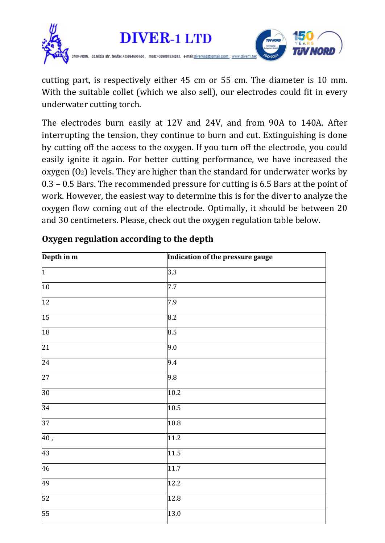

cutting part, is respectively either 45 cm or 55 cm. The diameter is 10 mm. With the suitable collet (which we also sell), our electrodes could fit in every underwater cutting torch.

The electrodes burn easily at 12V and 24V, and from 90A to 140A. After interrupting the tension, they continue to burn and cut. Extinguishing is done by cutting off the access to the oxygen. If you turn off the electrode, you could easily ignite it again. For better cutting performance, we have increased the oxygen  $(0<sub>2</sub>)$  levels. They are higher than the standard for underwater works by 0.3 – 0.5 Bars. The recommended pressure for cutting is 6.5 Bars at the point of work. However, the easiest way to determine this is for the diver to analyze the oxygen flow coming out of the electrode. Optimally, it should be between 20 and 30 centimeters. Please, check out the oxygen regulation table below.

| Depth in m        | Indication of the pressure gauge |
|-------------------|----------------------------------|
| $\overline{1}$    | 3,3                              |
| 10                | 7.7                              |
| $\overline{12}$   | 7.9                              |
| $\overline{15}$   | 8.2                              |
| 18                | 8.5                              |
| $\overline{21}$   | 9.0                              |
| $\overline{24}$   | 9.4                              |
| $\overline{27}$   | 9.8                              |
| $ 30\rangle$      | 10.2                             |
| 34                | 10.5                             |
| 37                | 10.8                             |
| $\overline{40}$ , | 11.2                             |
| 43                | 11.5                             |
| 46                | 11.7                             |
| 49                | 12.2                             |
| 52                | 12.8                             |
| 55                | 13.0                             |

## **Oxygen regulation according to the depth**